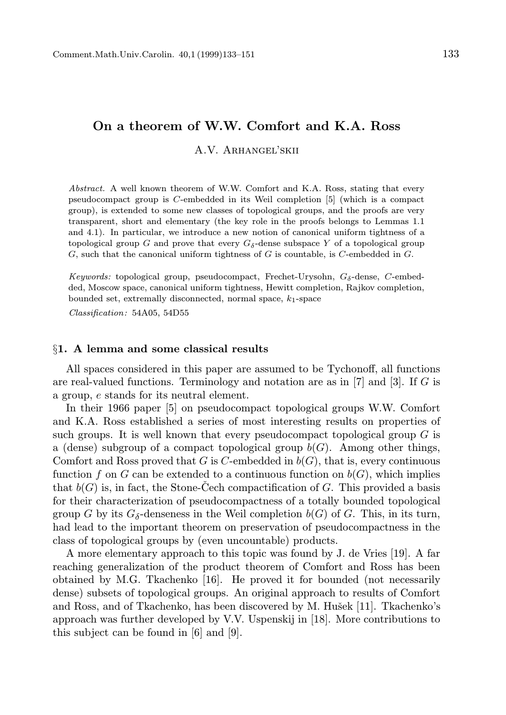# On a theorem of W.W. Comfort and K.A. Ross

A.V. Arhangel'skii

Abstract. A well known theorem of W.W. Comfort and K.A. Ross, stating that every pseudocompact group is C-embedded in its Weil completion [5] (which is a compact group), is extended to some new classes of topological groups, and the proofs are very transparent, short and elementary (the key role in the proofs belongs to Lemmas 1.1 and 4.1). In particular, we introduce a new notion of canonical uniform tightness of a topological group G and prove that every  $G_{\delta}$ -dense subspace Y of a topological group  $G$ , such that the canonical uniform tightness of  $G$  is countable, is  $C$ -embedded in  $G$ .

Keywords: topological group, pseudocompact, Frechet-Urysohn,  $G_{\delta}$ -dense, C-embedded, Moscow space, canonical uniform tightness, Hewitt completion, Rajkov completion, bounded set, extremally disconnected, normal space,  $k_1$ -space

Classification: 54A05, 54D55

## §1. A lemma and some classical results

All spaces considered in this paper are assumed to be Tychonoff, all functions are real-valued functions. Terminology and notation are as in  $[7]$  and  $[3]$ . If G is a group, e stands for its neutral element.

In their 1966 paper [5] on pseudocompact topological groups W.W. Comfort and K.A. Ross established a series of most interesting results on properties of such groups. It is well known that every pseudocompact topological group  $G$  is a (dense) subgroup of a compact topological group  $b(G)$ . Among other things, Comfort and Ross proved that G is C-embedded in  $b(G)$ , that is, every continuous function f on G can be extended to a continuous function on  $b(G)$ , which implies that  $b(G)$  is, in fact, the Stone-Cech compactification of G. This provided a basis for their characterization of pseudocompactness of a totally bounded topological group G by its  $G_{\delta}$ -denseness in the Weil completion  $b(G)$  of G. This, in its turn, had lead to the important theorem on preservation of pseudocompactness in the class of topological groups by (even uncountable) products.

A more elementary approach to this topic was found by J. de Vries [19]. A far reaching generalization of the product theorem of Comfort and Ross has been obtained by M.G. Tkachenko [16]. He proved it for bounded (not necessarily dense) subsets of topological groups. An original approach to results of Comfort and Ross, and of Tkachenko, has been discovered by M. Hušek [11]. Tkachenko's approach was further developed by V.V. Uspenskij in [18]. More contributions to this subject can be found in [6] and [9].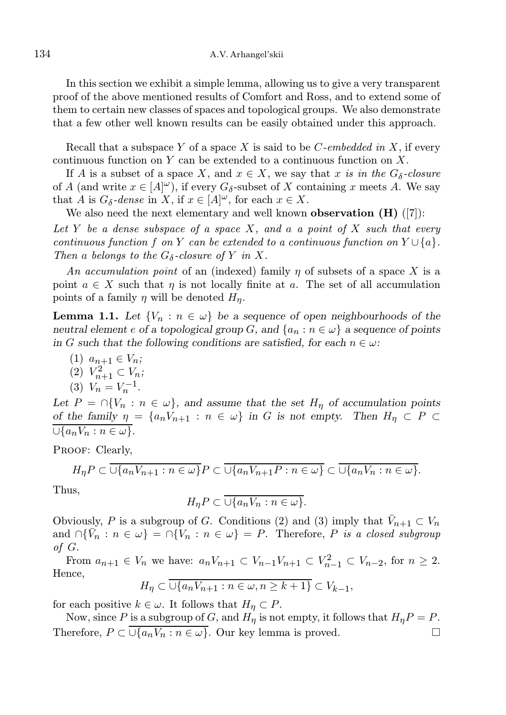In this section we exhibit a simple lemma, allowing us to give a very transparent proof of the above mentioned results of Comfort and Ross, and to extend some of them to certain new classes of spaces and topological groups. We also demonstrate that a few other well known results can be easily obtained under this approach.

Recall that a subspace Y of a space X is said to be  $C$ -embedded in X, if every continuous function on  $Y$  can be extended to a continuous function on  $X$ .

If A is a subset of a space X, and  $x \in X$ , we say that x is in the  $G_{\delta}$ -closure of A (and write  $x \in [A]^\omega$ ), if every  $G_\delta$ -subset of X containing x meets A. We say that A is  $G_{\delta}$ -dense in X, if  $x \in [A]^{\omega}$ , for each  $x \in X$ .

We also need the next elementary and well known **observation**  $(H)$  ([7]): Let Y be a dense subspace of a space X, and a a point of X such that every continuous function f on Y can be extended to a continuous function on  $Y \cup \{a\}$ . Then a belongs to the  $G_{\delta}$ -closure of Y in X.

An accumulation point of an (indexed) family  $\eta$  of subsets of a space X is a point  $a \in X$  such that  $\eta$  is not locally finite at a. The set of all accumulation points of a family  $\eta$  will be denoted  $H_{\eta}$ .

**Lemma 1.1.** Let  $\{V_n : n \in \omega\}$  be a sequence of open neighbourhoods of the neutral element e of a topological group G, and  $\{a_n : n \in \omega\}$  a sequence of points in G such that the following conditions are satisfied, for each  $n \in \omega$ .

- (1)  $a_{n+1} \in V_n$ ;
- (2)  $V_{n+1}^2 \subset V_n$ ;

$$
(3) V_n = V_n^{-1}.
$$

Let  $P = \bigcap \{V_n : n \in \omega\}$ , and assume that the set  $H_n$  of accumulation points of the family  $\eta = \{a_nV_{n+1} : n \in \omega\}$  in G is not empty. Then  $H_\eta \subset P$  $\overline{\cup \{a_nV_n : n \in \omega\}}$ .

PROOF: Clearly,

$$
H_{\eta}P \subset \overline{\cup \{a_n V_{n+1} : n \in \omega\}} P \subset \overline{\cup \{a_n V_{n+1} P : n \in \omega\}} \subset \overline{\cup \{a_n V_n : n \in \omega\}}.
$$

Thus,

$$
H_{\eta}P \subset \overline{\cup \{a_n V_n : n \in \omega\}}.
$$

Obviously, P is a subgroup of G. Conditions (2) and (3) imply that  $\bar{V}_{n+1} \subset V_n$ and  $\cap {\overline{V_n}} : n \in \omega$  =  $\cap {\overline{V_n}} : n \in \omega$  = P. Therefore, P is a closed subgroup of G.

From  $a_{n+1} \in V_n$  we have:  $a_n V_{n+1} \subset V_{n-1} V_{n+1} \subset V_{n-1}^2 \subset V_{n-2}$ , for  $n \ge 2$ . Hence,

$$
H_{\eta} \subset \overline{\cup \{a_n V_{n+1} : n \in \omega, n \ge k+1\}} \subset V_{k-1},
$$

for each positive  $k \in \omega$ . It follows that  $H_{\eta} \subset P$ .

Now, since P is a subgroup of G, and  $H_{\eta}$  is not empty, it follows that  $H_{\eta}P = P$ . Therefore,  $P \subset \overline{\cup \{a_n V_n : n \in \omega\}}$ . Our key lemma is proved.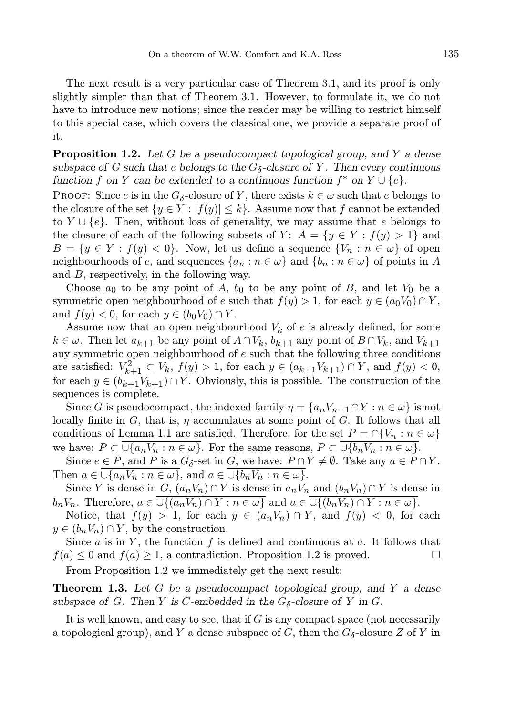The next result is a very particular case of Theorem 3.1, and its proof is only slightly simpler than that of Theorem 3.1. However, to formulate it, we do not have to introduce new notions; since the reader may be willing to restrict himself to this special case, which covers the classical one, we provide a separate proof of it.

**Proposition 1.2.** Let G be a pseudocompact topological group, and Y a dense subspace of G such that e belongs to the  $G_{\delta}$ -closure of Y. Then every continuous function f on Y can be extended to a continuous function  $f^*$  on  $Y \cup \{e\}$ .

PROOF: Since e is in the  $G_{\delta}$ -closure of Y, there exists  $k \in \omega$  such that e belongs to the closure of the set  $\{y \in Y : |f(y)| \leq k\}$ . Assume now that f cannot be extended to  $Y \cup \{e\}$ . Then, without loss of generality, we may assume that e belongs to the closure of each of the following subsets of Y:  $A = \{y \in Y : f(y) > 1\}$  and  $B = \{y \in Y : f(y) < 0\}.$  Now, let us define a sequence  $\{V_n : n \in \omega\}$  of open neighbourhoods of e, and sequences  $\{a_n : n \in \omega\}$  and  $\{b_n : n \in \omega\}$  of points in A and B, respectively, in the following way.

Choose  $a_0$  to be any point of A,  $b_0$  to be any point of B, and let  $V_0$  be a symmetric open neighbourhood of e such that  $f(y) > 1$ , for each  $y \in (a_0V_0) \cap Y$ , and  $f(y) < 0$ , for each  $y \in (b_0 V_0) \cap Y$ .

Assume now that an open neighbourhood  $V_k$  of e is already defined, for some  $k \in \omega$ . Then let  $a_{k+1}$  be any point of  $A \cap V_k$ ,  $b_{k+1}$  any point of  $B \cap V_k$ , and  $V_{k+1}$ any symmetric open neighbourhood of  $e$  such that the following three conditions are satisfied:  $V_{k+1}^2 \subset V_k$ ,  $f(y) > 1$ , for each  $y \in (a_{k+1}V_{k+1}) \cap Y$ , and  $f(y) < 0$ , for each  $y \in (b_{k+1}V_{k+1}) \cap Y$ . Obviously, this is possible. The construction of the sequences is complete.

Since G is pseudocompact, the indexed family  $\eta = \{a_n V_{n+1} \cap Y : n \in \omega\}$  is not locally finite in G, that is,  $\eta$  accumulates at some point of G. It follows that all conditions of Lemma 1.1 are satisfied. Therefore, for the set  $P = \bigcap \{V_n : n \in \omega\}$ we have:  $P \subset \overline{\cup \{a_n V_n : n \in \omega\}}$ . For the same reasons,  $P \subset \overline{\cup \{b_n V_n : n \in \omega\}}$ .

Since  $e \in P$ , and P is a  $G_{\delta}$ -set in  $G$ , we have:  $P \cap Y \neq \emptyset$ . Take any  $a \in P \cap Y$ . Then  $a \in \overline{\cup \{a_n V_n : n \in \omega\}}$ , and  $a \in \overline{\cup \{b_n V_n : n \in \omega\}}$ .

Since Y is dense in  $G$ ,  $(a_nV_n) \cap Y$  is dense in  $a_nV_n$  and  $(b_nV_n) \cap Y$  is dense in  $b_nV_n$ . Therefore,  $a \in \overline{\cup \{(a_nV_n) \cap Y : n \in \omega\}}$  and  $a \in \overline{\cup \{(b_nV_n) \cap Y : n \in \omega\}}$ .

Notice, that  $f(y) > 1$ , for each  $y \in (a_n V_n) \cap Y$ , and  $f(y) < 0$ , for each  $y \in (b_n V_n) \cap Y$ , by the construction.

Since  $a$  is in  $Y$ , the function  $f$  is defined and continuous at  $a$ . It follows that  $f(a) \leq 0$  and  $f(a) \geq 1$ , a contradiction. Proposition 1.2 is proved.

From Proposition 1.2 we immediately get the next result:

**Theorem 1.3.** Let  $G$  be a pseudocompact topological group, and  $Y$  a dense subspace of G. Then Y is C-embedded in the  $G_{\delta}$ -closure of Y in G.

It is well known, and easy to see, that if  $G$  is any compact space (not necessarily a topological group), and Y a dense subspace of  $G$ , then the  $G_{\delta}$ -closure Z of Y in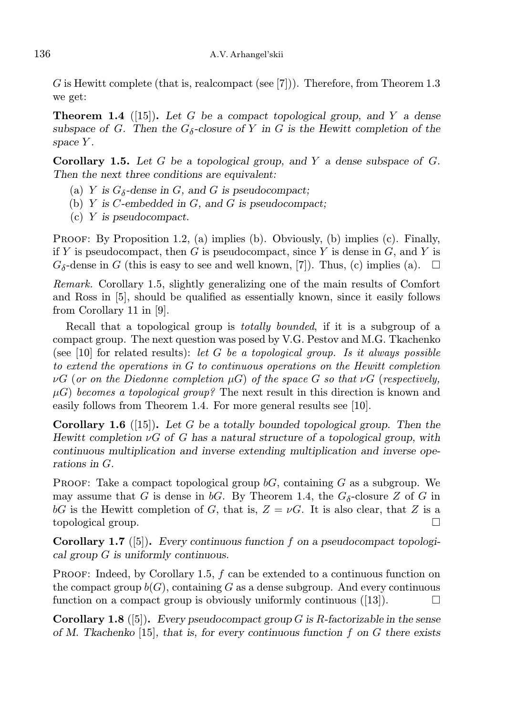G is Hewitt complete (that is, realcompact (see [7])). Therefore, from Theorem 1.3 we get:

**Theorem 1.4** ([15]). Let G be a compact topological group, and Y a dense subspace of G. Then the  $G_{\delta}$ -closure of Y in G is the Hewitt completion of the space Y.

**Corollary 1.5.** Let G be a topological group, and Y a dense subspace of  $G$ . Then the next three conditions are equivalent:

- (a) Y is  $G_{\delta}$ -dense in G, and G is pseudocompact;
- (b)  $Y$  is  $C$ -embedded in  $G$ , and  $G$  is pseudocompact;
- (c) Y is pseudocompact.

PROOF: By Proposition 1.2, (a) implies (b). Obviously, (b) implies (c). Finally, if Y is pseudocompact, then G is pseudocompact, since Y is dense in  $G$ , and Y is  $G_{\delta}$ -dense in G (this is easy to see and well known, [7]). Thus, (c) implies (a).  $\Box$ 

Remark. Corollary 1.5, slightly generalizing one of the main results of Comfort and Ross in [5], should be qualified as essentially known, since it easily follows from Corollary 11 in [9].

Recall that a topological group is totally bounded, if it is a subgroup of a compact group. The next question was posed by V.G. Pestov and M.G. Tkachenko (see  $[10]$  for related results): let G be a topological group. Is it always possible to extend the operations in G to continuous operations on the Hewitt completion  $\nu G$  (or on the Diedonne completion  $\mu G$ ) of the space G so that  $\nu G$  (respectively,  $\mu$ G) becomes a topological group? The next result in this direction is known and easily follows from Theorem 1.4. For more general results see [10].

**Corollary 1.6** ([15]). Let G be a totally bounded topological group. Then the Hewitt completion  $\nu G$  of G has a natural structure of a topological group, with continuous multiplication and inverse extending multiplication and inverse operations in G.

PROOF: Take a compact topological group  $bG$ , containing G as a subgroup. We may assume that G is dense in  $bG$ . By Theorem 1.4, the  $G_{\delta}$ -closure Z of G in bG is the Hewitt completion of G, that is,  $Z = \nu G$ . It is also clear, that Z is a topological group.  $\square$ 

**Corollary 1.7** ([5]). Every continuous function f on a pseudocompact topological group G is uniformly continuous.

PROOF: Indeed, by Corollary 1.5,  $f$  can be extended to a continuous function on the compact group  $b(G)$ , containing G as a dense subgroup. And every continuous function on a compact group is obviously uniformly continuous  $([13])$ .

**Corollary 1.8** ([5]). Every pseudocompact group G is R-factorizable in the sense of M. Tkachenko [15], that is, for every continuous function f on  $G$  there exists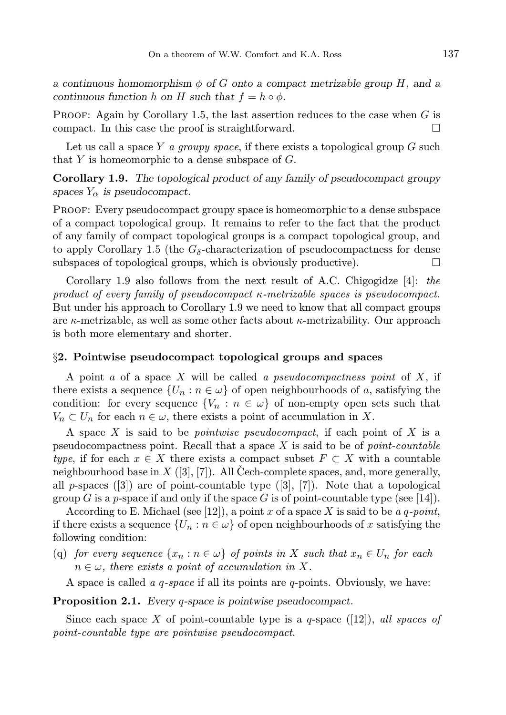a continuous homomorphism  $\phi$  of G onto a compact metrizable group H, and a continuous function h on H such that  $f = h \circ \phi$ .

**PROOF:** Again by Corollary 1.5, the last assertion reduces to the case when  $G$  is compact. In this case the proof is straightforward.

Let us call a space Y a groupy space, if there exists a topological group  $G$  such that  $Y$  is homeomorphic to a dense subspace of  $G$ .

Corollary 1.9. The topological product of any family of pseudocompact groupy spaces  $Y_{\alpha}$  is pseudocompact.

Proof: Every pseudocompact groupy space is homeomorphic to a dense subspace of a compact topological group. It remains to refer to the fact that the product of any family of compact topological groups is a compact topological group, and to apply Corollary 1.5 (the  $G_{\delta}$ -characterization of pseudocompactness for dense subspaces of topological groups, which is obviously productive).  $\Box$ 

Corollary 1.9 also follows from the next result of A.C. Chigogidze  $[4]$ : the product of every family of pseudocompact  $\kappa$ -metrizable spaces is pseudocompact. But under his approach to Corollary 1.9 we need to know that all compact groups are  $\kappa$ -metrizable, as well as some other facts about  $\kappa$ -metrizability. Our approach is both more elementary and shorter.

#### §2. Pointwise pseudocompact topological groups and spaces

A point  $a$  of a space  $X$  will be called  $a$  pseudocompactness point of  $X$ , if there exists a sequence  $\{U_n : n \in \omega\}$  of open neighbourhoods of a, satisfying the condition: for every sequence  ${V_n : n \in \omega}$  of non-empty open sets such that  $V_n \subset U_n$  for each  $n \in \omega$ , there exists a point of accumulation in X.

A space  $X$  is said to be *pointwise pseudocompact*, if each point of  $X$  is a pseudocompactness point. Recall that a space  $X$  is said to be of *point-countable* type, if for each  $x \in X$  there exists a compact subset  $F \subset X$  with a countable neighbourhood base in  $X$  ([3], [7]). All Cech-complete spaces, and, more generally, all  $p$ -spaces  $([3])$  are of point-countable type  $([3], [7])$ . Note that a topological group G is a p-space if and only if the space G is of point-countable type (see [14]).

According to E. Michael (see [12]), a point x of a space X is said to be a q-point, if there exists a sequence  $\{U_n : n \in \omega\}$  of open neighbourhoods of x satisfying the following condition:

(q) for every sequence  $\{x_n : n \in \omega\}$  of points in X such that  $x_n \in U_n$  for each  $n \in \omega$ , there exists a point of accumulation in X.

A space is called  $a \, q$ -space if all its points are  $q$ -points. Obviously, we have:

Proposition 2.1. Every *q*-space is pointwise pseudocompact.

Since each space X of point-countable type is a q-space  $(12)$ , all spaces of point-countable type are pointwise pseudocompact.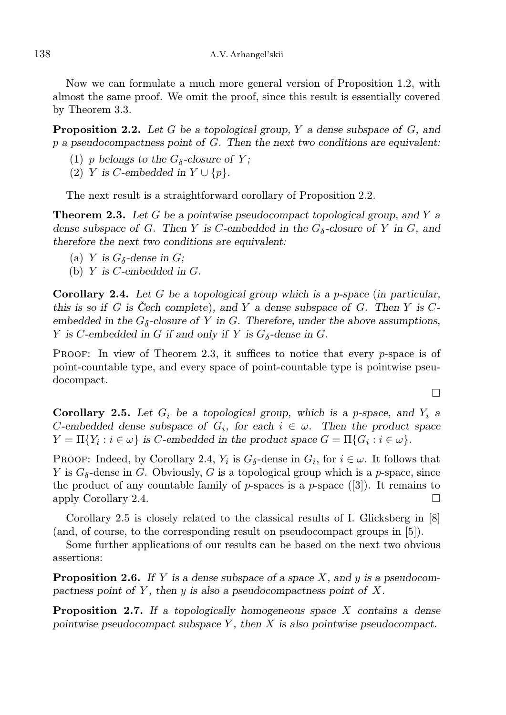Now we can formulate a much more general version of Proposition 1.2, with almost the same proof. We omit the proof, since this result is essentially covered by Theorem 3.3.

**Proposition 2.2.** Let G be a topological group, Y a dense subspace of G, and  $p$  a pseudocompactness point of  $G$ . Then the next two conditions are equivalent:

- (1) *p* belongs to the  $G_{\delta}$ -closure of *Y*;
- (2) Y is C-embedded in  $Y \cup \{p\}.$

The next result is a straightforward corollary of Proposition 2.2.

**Theorem 2.3.** Let G be a pointwise pseudocompact topological group, and Y a dense subspace of G. Then Y is C-embedded in the  $G_{\delta}$ -closure of Y in G, and therefore the next two conditions are equivalent:

- (a) Y is  $G_{\delta}$ -dense in G;
- (b) Y is  $C$ -embedded in  $G$ .

**Corollary 2.4.** Let G be a topological group which is a p-space (in particular, this is so if G is Cech complete), and Y a dense subspace of G. Then Y is  $C$ embedded in the  $G_{\delta}$ -closure of Y in G. Therefore, under the above assumptions, Y is C-embedded in G if and only if Y is  $G_{\delta}$ -dense in G.

**PROOF:** In view of Theorem 2.3, it suffices to notice that every  $p$ -space is of point-countable type, and every space of point-countable type is pointwise pseudocompact.

Corollary 2.5. Let  $G_i$  be a topological group, which is a p-space, and  $Y_i$  a C-embedded dense subspace of  $G_i$ , for each  $i \in \omega$ . Then the product space  $Y = \Pi\{Y_i : i \in \omega\}$  is C-embedded in the product space  $G = \Pi\{G_i : i \in \omega\}.$ 

PROOF: Indeed, by Corollary 2.4,  $Y_i$  is  $G_\delta$ -dense in  $G_i$ , for  $i \in \omega$ . It follows that Y is  $G_{\delta}$ -dense in G. Obviously, G is a topological group which is a p-space, since the product of any countable family of p-spaces is a p-space  $([3])$ . It remains to apply Corollary 2.4.

Corollary 2.5 is closely related to the classical results of I. Glicksberg in [8] (and, of course, to the corresponding result on pseudocompact groups in [5]).

Some further applications of our results can be based on the next two obvious assertions:

**Proposition 2.6.** If Y is a dense subspace of a space X, and y is a pseudocompactness point of Y, then y is also a pseudocompactness point of  $X$ .

**Proposition 2.7.** If a topologically homogeneous space  $X$  contains a dense pointwise pseudocompact subspace  $Y$ , then  $X$  is also pointwise pseudocompact.

 $\Box$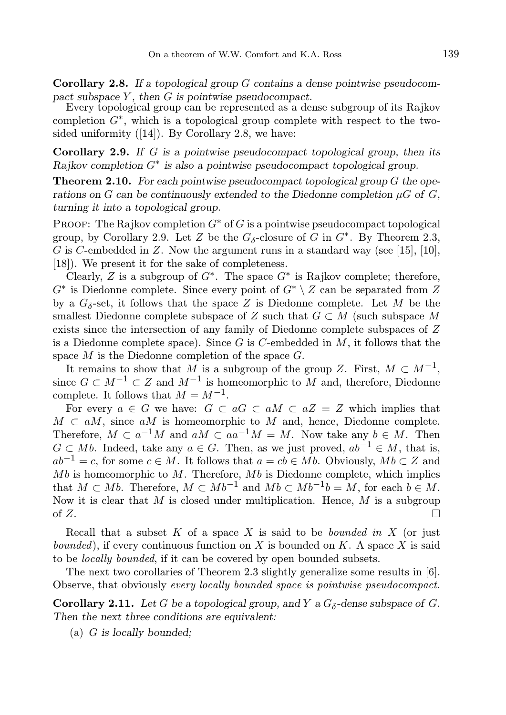**Corollary 2.8.** If a topological group G contains a dense pointwise pseudocompact subspace  $Y$ , then  $G$  is pointwise pseudocompact.

Every topological group can be represented as a dense subgroup of its Rajkov completion  $G^*$ , which is a topological group complete with respect to the twosided uniformity  $([14])$ . By Corollary 2.8, we have:

**Corollary 2.9.** If G is a pointwise pseudocompact topological group, then its  $R$ ajkov completion  $G^*$  is also a pointwise pseudocompact topological group.

**Theorem 2.10.** For each pointwise pseudocompact topological group  $G$  the operations on G can be continuously extended to the Diedonne completion  $\mu G$  of G, turning it into a topological group.

**PROOF:** The Rajkov completion  $G^*$  of G is a pointwise pseudocompact topological group, by Corollary 2.9. Let Z be the  $G_{\delta}$ -closure of G in  $G^*$ . By Theorem 2.3, G is C-embedded in Z. Now the argument runs in a standard way (see [15], [10], [18]). We present it for the sake of completeness.

Clearly, Z is a subgroup of  $G^*$ . The space  $G^*$  is Rajkov complete; therefore,  $G^*$  is Diedonne complete. Since every point of  $G^* \setminus Z$  can be separated from Z by a  $G_{\delta}$ -set, it follows that the space Z is Diedonne complete. Let M be the smallest Diedonne complete subspace of Z such that  $G \subset M$  (such subspace M exists since the intersection of any family of Diedonne complete subspaces of Z is a Diedonne complete space). Since G is C-embedded in  $M$ , it follows that the space  $M$  is the Diedonne completion of the space  $G$ .

It remains to show that M is a subgroup of the group Z. First,  $M \subset M^{-1}$ , since  $G \subset M^{-1} \subset Z$  and  $M^{-1}$  is homeomorphic to M and, therefore, Diedonne complete. It follows that  $M = M^{-1}$ .

For every  $a \in G$  we have:  $G \subset aG \subset aM \subset aZ = Z$  which implies that  $M \subset aM$ , since aM is homeomorphic to M and, hence, Diedonne complete. Therefore,  $M \subset a^{-1}M$  and  $aM \subset aa^{-1}M = M$ . Now take any  $b \in M$ . Then  $G \subset Mb$ . Indeed, take any  $a \in G$ . Then, as we just proved,  $ab^{-1} \in M$ , that is,  $ab^{-1} = c$ , for some  $c \in M$ . It follows that  $a = cb \in Mb$ . Obviously,  $Mb \subset Z$  and  $Mb$  is homeomorphic to  $M$ . Therefore,  $Mb$  is Diedonne complete, which implies that  $M \subset Mb$ . Therefore,  $M \subset Mb^{-1}$  and  $Mb \subset Mb^{-1}b = M$ , for each  $b \in M$ . Now it is clear that  $M$  is closed under multiplication. Hence,  $M$  is a subgroup of  $Z$ .

Recall that a subset  $K$  of a space  $X$  is said to be *bounded in*  $X$  (or just bounded), if every continuous function on X is bounded on K. A space X is said to be locally bounded, if it can be covered by open bounded subsets.

The next two corollaries of Theorem 2.3 slightly generalize some results in [6]. Observe, that obviously every locally bounded space is pointwise pseudocompact.

**Corollary 2.11.** Let G be a topological group, and Y a  $G_{\delta}$ -dense subspace of G. Then the next three conditions are equivalent:

(a) G is locally bounded;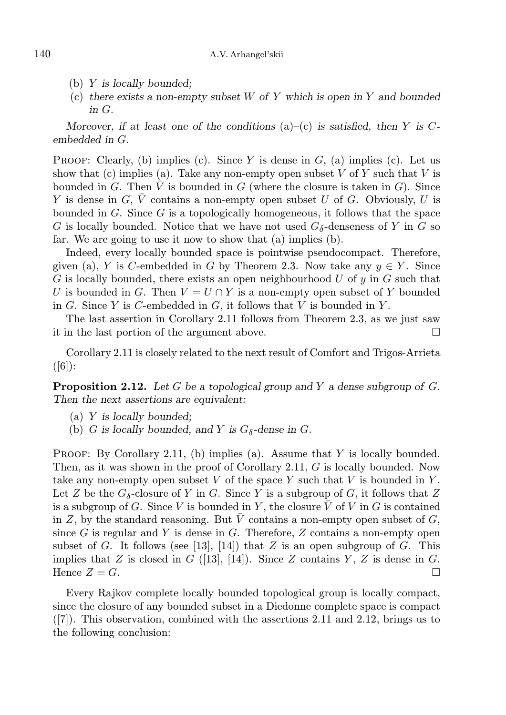- (b) Y is locally bounded;
- (c) there exists a non-empty subset  $W$  of  $Y$  which is open in  $Y$  and bounded in G.

Moreover, if at least one of the conditions  $(a)$ – $(c)$  is satisfied, then Y is Cembedded in G.

**PROOF:** Clearly, (b) implies (c). Since Y is dense in  $G$ , (a) implies (c). Let us show that (c) implies (a). Take any non-empty open subset  $V$  of  $Y$  such that  $V$  is bounded in G. Then  $\overline{V}$  is bounded in G (where the closure is taken in G). Since Y is dense in G,  $\overline{V}$  contains a non-empty open subset U of G. Obviously, U is bounded in  $G$ . Since  $G$  is a topologically homogeneous, it follows that the space G is locally bounded. Notice that we have not used  $G_{\delta}$ -denseness of Y in G so far. We are going to use it now to show that (a) implies (b).

Indeed, every locally bounded space is pointwise pseudocompact. Therefore, given (a), Y is C-embedded in G by Theorem 2.3. Now take any  $y \in Y$ . Since G is locally bounded, there exists an open neighbourhood  $U$  of  $y$  in  $G$  such that U is bounded in G. Then  $V = U \cap Y$  is a non-empty open subset of Y bounded in G. Since Y is C-embedded in G, it follows that V is bounded in Y.

The last assertion in Corollary 2.11 follows from Theorem 2.3, as we just saw it in the last portion of the argument above.  $\Box$ 

Corollary 2.11 is closely related to the next result of Comfort and Trigos-Arrieta  $([6])$ :

**Proposition 2.12.** Let G be a topological group and Y a dense subgroup of G. Then the next assertions are equivalent:

- (a) Y is locally bounded;
- (b) G is locally bounded, and Y is  $G_{\delta}$ -dense in G.

PROOF: By Corollary 2.11, (b) implies (a). Assume that  $Y$  is locally bounded. Then, as it was shown in the proof of Corollary 2.11, G is locally bounded. Now take any non-empty open subset  $V$  of the space  $Y$  such that  $V$  is bounded in  $Y$ . Let Z be the  $G_{\delta}$ -closure of Y in G. Since Y is a subgroup of G, it follows that Z is a subgroup of G. Since V is bounded in Y, the closure  $\overline{V}$  of V in G is contained in Z, by the standard reasoning. But  $\overline{V}$  contains a non-empty open subset of G, since  $G$  is regular and  $Y$  is dense in  $G$ . Therefore,  $Z$  contains a non-empty open subset of G. It follows (see [13], [14]) that Z is an open subgroup of G. This implies that Z is closed in G ([13], [14]). Since Z contains Y, Z is dense in G. Hence  $Z = G$ .

Every Rajkov complete locally bounded topological group is locally compact, since the closure of any bounded subset in a Diedonne complete space is compact ([7]). This observation, combined with the assertions 2.11 and 2.12, brings us to the following conclusion: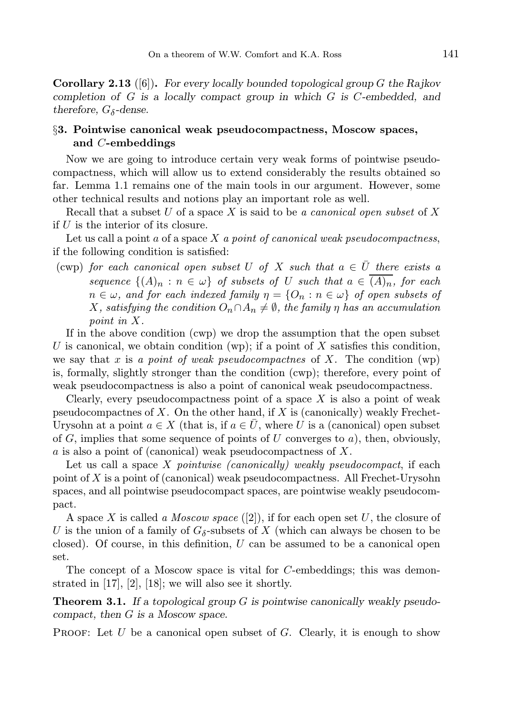**Corollary 2.13** ([6]). For every locally bounded topological group G the Rajkov completion of G is a locally compact group in which G is C-embedded, and therefore,  $G_{\delta}$ -dense.

# §3. Pointwise canonical weak pseudocompactness, Moscow spaces, and C-embeddings

Now we are going to introduce certain very weak forms of pointwise pseudocompactness, which will allow us to extend considerably the results obtained so far. Lemma 1.1 remains one of the main tools in our argument. However, some other technical results and notions play an important role as well.

Recall that a subset U of a space X is said to be a canonical open subset of X if  $U$  is the interior of its closure.

Let us call a point  $a$  of a space  $X$  a point of canonical weak pseudocompactness, if the following condition is satisfied:

(cwp) for each canonical open subset U of X such that  $a \in \overline{U}$  there exists a sequence  $\{(A)_n : n \in \omega\}$  of subsets of U such that  $a \in (A)_n$ , for each  $n \in \omega$ , and for each indexed family  $\eta = \{O_n : n \in \omega\}$  of open subsets of X, satisfying the condition  $O_n \cap A_n \neq \emptyset$ , the family  $\eta$  has an accumulation point in X.

If in the above condition (cwp) we drop the assumption that the open subset U is canonical, we obtain condition (wp); if a point of X satisfies this condition, we say that x is a point of weak pseudocompactnes of X. The condition  $wp)$ is, formally, slightly stronger than the condition (cwp); therefore, every point of weak pseudocompactness is also a point of canonical weak pseudocompactness.

Clearly, every pseudocompactness point of a space  $X$  is also a point of weak pseudocompactnes of X. On the other hand, if X is (canonically) weakly Frechet-Urysohn at a point  $a \in X$  (that is, if  $a \in U$ , where U is a (canonical) open subset of  $G$ , implies that some sequence of points of  $U$  converges to  $a$ ), then, obviously, a is also a point of (canonical) weak pseudocompactness of X.

Let us call a space  $X$  pointwise (canonically) weakly pseudocompact, if each point of X is a point of (canonical) weak pseudocompactness. All Frechet-Urysohn spaces, and all pointwise pseudocompact spaces, are pointwise weakly pseudocompact.

A space X is called a *Moscow space* ([2]), if for each open set U, the closure of U is the union of a family of  $G_{\delta}$ -subsets of X (which can always be chosen to be closed). Of course, in this definition,  $U$  can be assumed to be a canonical open set.

The concept of a Moscow space is vital for C-embeddings; this was demonstrated in [17], [2], [18]; we will also see it shortly.

**Theorem 3.1.** If a topological group  $G$  is pointwise canonically weakly pseudocompact, then G is a Moscow space.

**PROOF:** Let  $U$  be a canonical open subset of  $G$ . Clearly, it is enough to show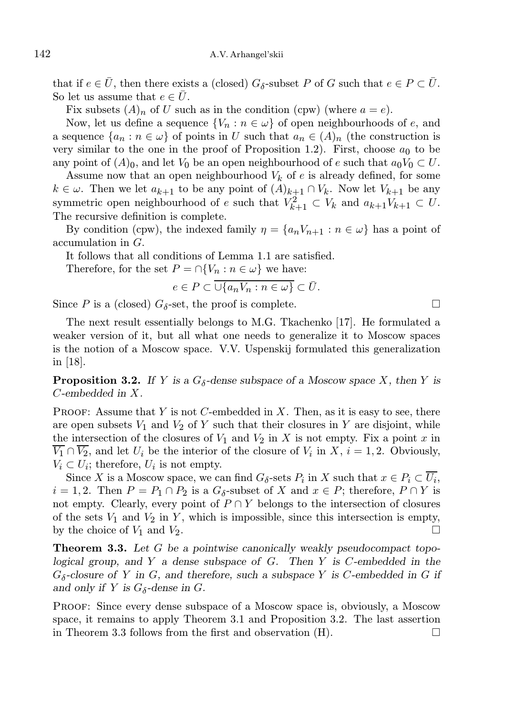that if  $e \in \overline{U}$ , then there exists a (closed)  $G_{\delta}$ -subset P of G such that  $e \in P \subset \overline{U}$ . So let us assume that  $e \in \overline{U}$ .

Fix subsets  $(A)_n$  of U such as in the condition (cpw) (where  $a = e$ ).

Now, let us define a sequence  $\{V_n : n \in \omega\}$  of open neighbourhoods of e, and a sequence  $\{a_n : n \in \omega\}$  of points in U such that  $a_n \in (A)_n$  (the construction is very similar to the one in the proof of Proposition 1.2). First, choose  $a_0$  to be any point of  $(A)_0$ , and let  $V_0$  be an open neighbourhood of e such that  $a_0V_0 \subset U$ .

Assume now that an open neighbourhood  $V_k$  of e is already defined, for some  $k \in \omega$ . Then we let  $a_{k+1}$  to be any point of  $(A)_{k+1} \cap V_k$ . Now let  $V_{k+1}$  be any symmetric open neighbourhood of e such that  $V_{k+1}^2 \subset V_k$  and  $a_{k+1}V_{k+1} \subset U$ . The recursive definition is complete.

By condition (cpw), the indexed family  $\eta = \{a_n V_{n+1} : n \in \omega\}$  has a point of accumulation in G.

It follows that all conditions of Lemma 1.1 are satisfied.

Therefore, for the set  $P = \bigcap \{V_n : n \in \omega\}$  we have:

$$
e \in P \subset \overline{\cup \{a_n V_n : n \in \omega\}} \subset \overline{U}.
$$

Since P is a (closed)  $G_{\delta}$ -set, the proof is complete.

The next result essentially belongs to M.G. Tkachenko [17]. He formulated a weaker version of it, but all what one needs to generalize it to Moscow spaces is the notion of a Moscow space. V.V. Uspenskij formulated this generalization in [18].

**Proposition 3.2.** If Y is a  $G_{\delta}$ -dense subspace of a Moscow space X, then Y is C-embedded in X.

**PROOF:** Assume that Y is not C-embedded in X. Then, as it is easy to see, there are open subsets  $V_1$  and  $V_2$  of Y such that their closures in Y are disjoint, while the intersection of the closures of  $V_1$  and  $V_2$  in X is not empty. Fix a point x in  $V_1 \cap V_2$ , and let  $U_i$  be the interior of the closure of  $V_i$  in  $X, i = 1, 2$ . Obviously,  $V_i \subset U_i$ ; therefore,  $U_i$  is not empty.

Since X is a Moscow space, we can find  $G_{\delta}$ -sets  $P_i$  in X such that  $x \in P_i \subset U_i$ ,  $i = 1, 2$ . Then  $P = P_1 \cap P_2$  is a  $G_{\delta}$ -subset of X and  $x \in P$ ; therefore,  $P \cap Y$  is not empty. Clearly, every point of  $P \cap Y$  belongs to the intersection of closures of the sets  $V_1$  and  $V_2$  in Y, which is impossible, since this intersection is empty, by the choice of  $V_1$  and  $V_2$ .

**Theorem 3.3.** Let G be a pointwise canonically weakly pseudocompact topological group, and Y a dense subspace of  $G$ . Then Y is C-embedded in the  $G_{\delta}$ -closure of Y in G, and therefore, such a subspace Y is C-embedded in G if and only if Y is  $G_{\delta}$ -dense in G.

Proof: Since every dense subspace of a Moscow space is, obviously, a Moscow space, it remains to apply Theorem 3.1 and Proposition 3.2. The last assertion in Theorem 3.3 follows from the first and observation  $(H)$ .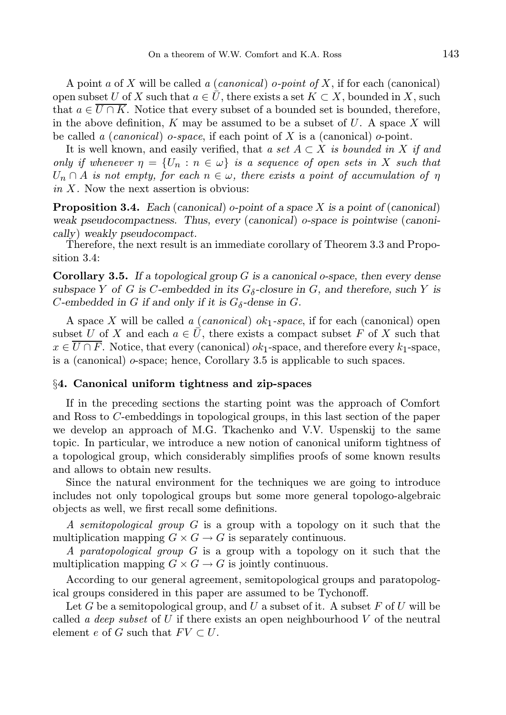A point a of X will be called a *(canonical)* o-*point of X*, if for each *(canonical)* open subset U of X such that  $a \in \bar{U}$ , there exists a set  $K \subset X$ , bounded in X, such that  $a \in \overline{U \cap K}$ . Notice that every subset of a bounded set is bounded, therefore, in the above definition,  $K$  may be assumed to be a subset of  $U$ . A space  $X$  will be called a (*canonical*) o-space, if each point of X is a (*canonical*) o-point.

It is well known, and easily verified, that a set  $A \subset X$  is bounded in X if and only if whenever  $\eta = \{U_n : n \in \omega\}$  is a sequence of open sets in X such that  $U_n \cap A$  is not empty, for each  $n \in \omega$ , there exists a point of accumulation of  $\eta$ in  $X$ . Now the next assertion is obvious:

**Proposition 3.4.** Each (canonical) o-point of a space X is a point of (canonical) weak pseudocompactness. Thus, every (canonical) o-space is pointwise (canonically) weakly pseudocompact.

Therefore, the next result is an immediate corollary of Theorem 3.3 and Proposition 3.4:

**Corollary 3.5.** If a topological group  $G$  is a canonical o-space, then every dense subspace Y of G is C-embedded in its  $G_{\delta}$ -closure in G, and therefore, such Y is C-embedded in G if and only if it is  $G_{\delta}$ -dense in G.

A space X will be called a *(canonical)*  $ok_1$ -space, if for each *(canonical)* open subset U of X and each  $a \in \overline{U}$ , there exists a compact subset F of X such that  $x \in \overline{U \cap F}$ . Notice, that every (canonical)  $ok_1$ -space, and therefore every  $k_1$ -space, is a (canonical) o-space; hence, Corollary 3.5 is applicable to such spaces.

### §4. Canonical uniform tightness and zip-spaces

If in the preceding sections the starting point was the approach of Comfort and Ross to C-embeddings in topological groups, in this last section of the paper we develop an approach of M.G. Tkachenko and V.V. Uspenskij to the same topic. In particular, we introduce a new notion of canonical uniform tightness of a topological group, which considerably simplifies proofs of some known results and allows to obtain new results.

Since the natural environment for the techniques we are going to introduce includes not only topological groups but some more general topologo-algebraic objects as well, we first recall some definitions.

A semitopological group G is a group with a topology on it such that the multiplication mapping  $G \times G \to G$  is separately continuous.

A paratopological group G is a group with a topology on it such that the multiplication mapping  $G \times G \to G$  is jointly continuous.

According to our general agreement, semitopological groups and paratopological groups considered in this paper are assumed to be Tychonoff.

Let G be a semitopological group, and U a subset of it. A subset F of U will be called a deep subset of U if there exists an open neighbourhood V of the neutral element e of G such that  $FV \subset U$ .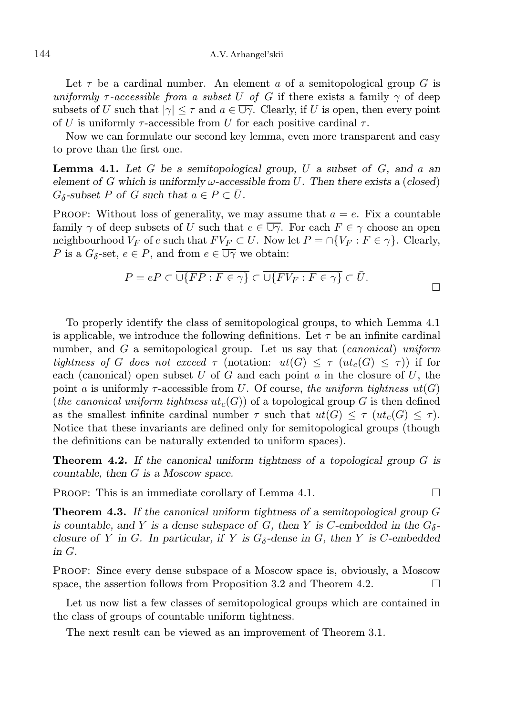### 144 A.V. Arhangel'skii

Let  $\tau$  be a cardinal number. An element a of a semitopological group G is uniformly  $\tau$ -accessible from a subset U of G if there exists a family  $\gamma$  of deep subsets of U such that  $|\gamma| \leq \tau$  and  $a \in \overline{\cup \gamma}$ . Clearly, if U is open, then every point of U is uniformly  $\tau$ -accessible from U for each positive cardinal  $\tau$ .

Now we can formulate our second key lemma, even more transparent and easy to prove than the first one.

**Lemma 4.1.** Let G be a semitopological group, U a subset of G, and a an element of G which is uniformly  $\omega$ -accessible from U. Then there exists a (closed)  $G_{\delta}$ -subset P of G such that  $a \in P \subset \overline{U}$ .

PROOF: Without loss of generality, we may assume that  $a = e$ . Fix a countable family  $\gamma$  of deep subsets of U such that  $e \in \overline{\cup \gamma}$ . For each  $F \in \gamma$  choose an open neighbourhood  $V_F$  of e such that  $F V_F \subset U$ . Now let  $P = \bigcap \{V_F : F \in \gamma\}$ . Clearly, P is a  $G_{\delta}$ -set,  $e \in P$ , and from  $e \in \overline{\cup \gamma}$  we obtain:

$$
P = eP \subset \overline{\cup \{FP : F \in \gamma\}} \subset \overline{\cup \{FV_F : F \in \gamma\}} \subset \overline{U}.
$$

To properly identify the class of semitopological groups, to which Lemma 4.1 is applicable, we introduce the following definitions. Let  $\tau$  be an infinite cardinal number, and G a semitopological group. Let us say that *(canonical) uniform* tightness of G does not exceed  $\tau$  (notation:  $ut(G) \leq \tau (ut_c(G) \leq \tau)$ ) if for each (canonical) open subset U of G and each point  $a$  in the closure of U, the point a is uniformly  $\tau$ -accessible from U. Of course, the uniform tightness  $ut(G)$ (the canonical uniform tightness  $ut_c(G)$ ) of a topological group G is then defined as the smallest infinite cardinal number  $\tau$  such that  $ut(G) \leq \tau (ut_c(G) \leq \tau)$ . Notice that these invariants are defined only for semitopological groups (though the definitions can be naturally extended to uniform spaces).

**Theorem 4.2.** If the canonical uniform tightness of a topological group  $G$  is countable, then G is a Moscow space.

PROOF: This is an immediate corollary of Lemma 4.1.  $\Box$ 

**Theorem 4.3.** If the canonical uniform tightness of a semitopological group  $G$ is countable, and Y is a dense subspace of G, then Y is C-embedded in the  $G_{\delta}$ closure of Y in G. In particular, if Y is  $G_{\delta}$ -dense in G, then Y is C-embedded in G.

Proof: Since every dense subspace of a Moscow space is, obviously, a Moscow space, the assertion follows from Proposition 3.2 and Theorem 4.2.  $\Box$ 

Let us now list a few classes of semitopological groups which are contained in the class of groups of countable uniform tightness.

The next result can be viewed as an improvement of Theorem 3.1.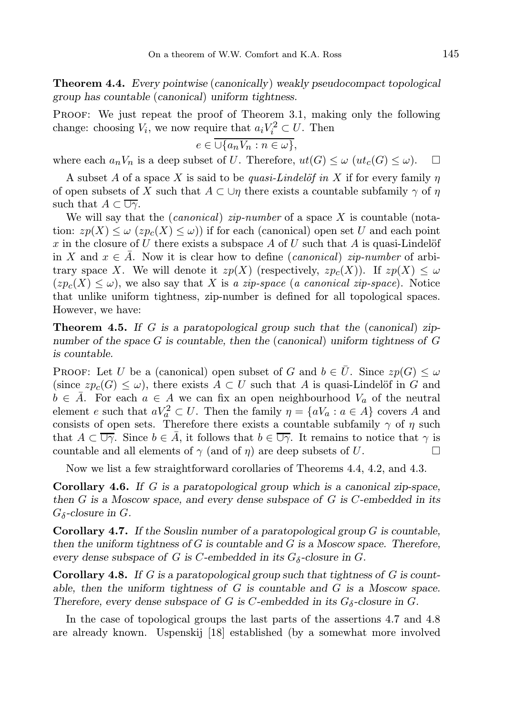Theorem 4.4. Every pointwise (canonically) weakly pseudocompact topological group has countable (canonical) uniform tightness.

PROOF: We just repeat the proof of Theorem 3.1, making only the following change: choosing  $V_i$ , we now require that  $a_i V_i^2 \subset U$ . Then

$$
e \in \overline{\cup \{a_n V_n : n \in \omega\}},
$$

where each  $a_nV_n$  is a deep subset of U. Therefore,  $ut(G) \leq \omega$   $ut_c(G) \leq \omega$ .

A subset A of a space X is said to be quasi-Lindelöf in X if for every family  $\eta$ of open subsets of X such that  $A \subset \bigcup \eta$  there exists a countable subfamily  $\gamma$  of  $\eta$ such that  $A \subset \overline{\cup \gamma}$ .

We will say that the *(canonical) zip-number* of a space X is countable (notation:  $zp(X) \leq \omega$  ( $zp_c(X) \leq \omega$ ) if for each (canonical) open set U and each point x in the closure of U there exists a subspace A of U such that A is quasi-Lindelöf in X and  $x \in \overline{A}$ . Now it is clear how to define (canonical) zip-number of arbitrary space X. We will denote it  $zp(X)$  (respectively,  $zp<sub>c</sub>(X)$ ). If  $zp(X) < \omega$  $(zp_c(X) \leq \omega)$ , we also say that X is a zip-space (a canonical zip-space). Notice that unlike uniform tightness, zip-number is defined for all topological spaces. However, we have:

**Theorem 4.5.** If G is a paratopological group such that the (canonical) zipnumber of the space G is countable, then the (canonical) uniform tightness of G is countable.

**PROOF:** Let U be a (canonical) open subset of G and  $b \in \overline{U}$ . Since  $zp(G) \leq \omega$ (since  $zp_c(G) \leq \omega$ ), there exists  $A \subset U$  such that A is quasi-Lindelöf in G and  $b \in \overline{A}$ . For each  $a \in A$  we can fix an open neighbourhood  $V_a$  of the neutral element e such that  $aV_a^2 \subset U$ . Then the family  $\eta = \{aV_a : a \in A\}$  covers A and consists of open sets. Therefore there exists a countable subfamily  $\gamma$  of  $\eta$  such that  $A \subset \overline{\cup \gamma}$ . Since  $b \in \overline{A}$ , it follows that  $b \in \overline{\cup \gamma}$ . It remains to notice that  $\gamma$  is countable and all elements of  $\gamma$  (and of  $\eta$ ) are deep subsets of U.

Now we list a few straightforward corollaries of Theorems 4.4, 4.2, and 4.3.

Corollary 4.6. If G is a paratopological group which is a canonical zip-space, then  $G$  is a Moscow space, and every dense subspace of  $G$  is  $C$ -embedded in its  $G_{\delta}$ -closure in  $G$ .

**Corollary 4.7.** If the Souslin number of a paratopological group  $G$  is countable, then the uniform tightness of  $G$  is countable and  $G$  is a Moscow space. Therefore, every dense subspace of G is C-embedded in its  $G_{\delta}$ -closure in G.

**Corollary 4.8.** If G is a paratopological group such that tightness of G is countable, then the uniform tightness of  $G$  is countable and  $G$  is a Moscow space. Therefore, every dense subspace of G is C-embedded in its  $G_{\delta}$ -closure in G.

In the case of topological groups the last parts of the assertions 4.7 and 4.8 are already known. Uspenskij [18] established (by a somewhat more involved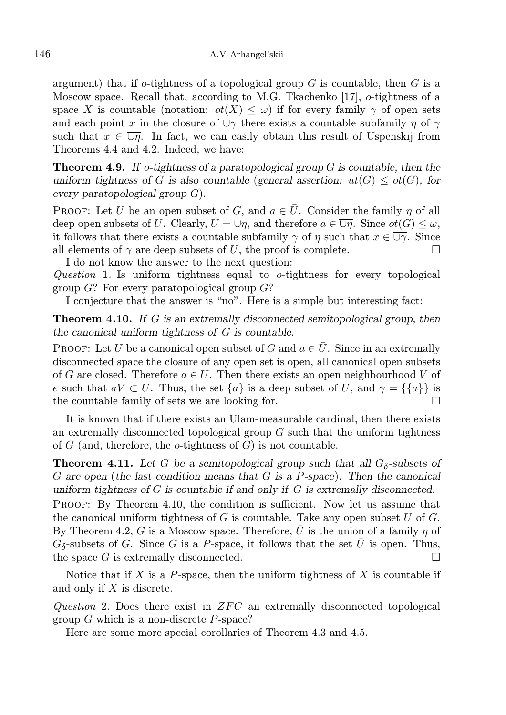argument) that if  $o$ -tightness of a topological group  $G$  is countable, then  $G$  is a Moscow space. Recall that, according to M.G. Tkachenko [17], o-tightness of a space X is countable (notation:  $\sigma(X) \leq \omega$ ) if for every family  $\gamma$  of open sets and each point x in the closure of  $\cup \gamma$  there exists a countable subfamily  $\eta$  of  $\gamma$ such that  $x \in \overline{\cup}$ . In fact, we can easily obtain this result of Uspenskij from Theorems 4.4 and 4.2. Indeed, we have:

**Theorem 4.9.** If o-tightness of a paratopological group  $G$  is countable, then the uniform tightness of G is also countable (general assertion:  $ut(G) \leq ot(G)$ , for every paratopological group G).

**PROOF:** Let U be an open subset of G, and  $a \in \overline{U}$ . Consider the family  $\eta$  of all deep open subsets of U. Clearly,  $U = \bigcup \eta$ , and therefore  $a \in \overline{\bigcup \eta}$ . Since  $ot(G) \leq \omega$ , it follows that there exists a countable subfamily  $\gamma$  of  $\eta$  such that  $x \in \overline{\cup \gamma}$ . Since all elements of  $\gamma$  are deep subsets of U, the proof is complete. I do not know the answer to the next question:

Question 1. Is uniform tightness equal to o-tightness for every topological group  $G$ ? For every paratopological group  $G$ ?

I conjecture that the answer is "no". Here is a simple but interesting fact:

**Theorem 4.10.** If G is an extremally disconnected semitopological group, then the canonical uniform tightness of G is countable.

**PROOF:** Let U be a canonical open subset of G and  $a \in \overline{U}$ . Since in an extremally disconnected space the closure of any open set is open, all canonical open subsets of G are closed. Therefore  $a \in U$ . Then there exists an open neighbourhood V of e such that  $aV \subset U$ . Thus, the set  $\{a\}$  is a deep subset of U, and  $\gamma = \{\{a\}\}\$ is the countable family of sets we are looking for.  $\Box$ 

It is known that if there exists an Ulam-measurable cardinal, then there exists an extremally disconnected topological group  $G$  such that the uniform tightness of  $G$  (and, therefore, the  $o$ -tightness of  $G$ ) is not countable.

**Theorem 4.11.** Let G be a semitopological group such that all  $G_{\delta}$ -subsets of  $G$  are open (the last condition means that  $G$  is a P-space). Then the canonical uniform tightness of  $G$  is countable if and only if  $G$  is extremally disconnected. Proof: By Theorem 4.10, the condition is sufficient. Now let us assume that the canonical uniform tightness of G is countable. Take any open subset U of  $G$ . By Theorem 4.2, G is a Moscow space. Therefore,  $\overline{U}$  is the union of a family  $\eta$  of  $G_{\delta}$ -subsets of G. Since G is a P-space, it follows that the set  $\bar{U}$  is open. Thus, the space G is extremally disconnected.  $\Box$ 

Notice that if X is a P-space, then the uniform tightness of X is countable if and only if X is discrete.

Question 2. Does there exist in  $ZFC$  an extremally disconnected topological group  $G$  which is a non-discrete  $P$ -space?

Here are some more special corollaries of Theorem 4.3 and 4.5.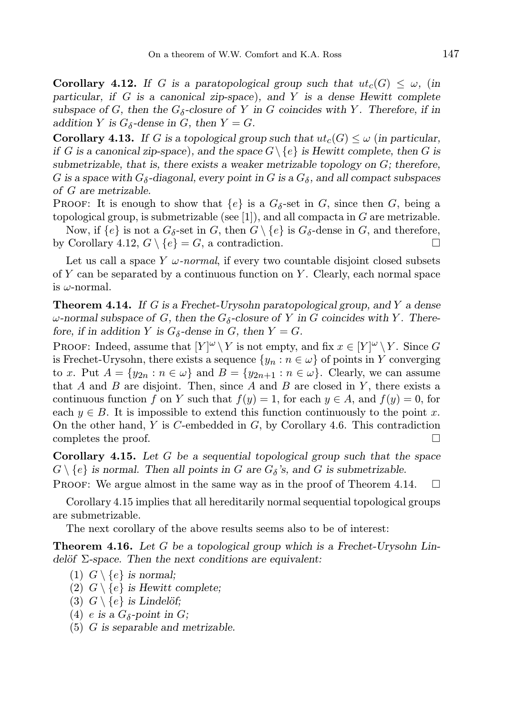**Corollary 4.12.** If G is a paratopological group such that  $ut_c(G) < \omega$ , (in particular, if  $G$  is a canonical zip-space), and  $Y$  is a dense Hewitt complete subspace of G, then the  $G_{\delta}$ -closure of Y in G coincides with Y. Therefore, if in addition Y is  $G_{\delta}$ -dense in G, then  $Y = G$ .

**Corollary 4.13.** If G is a topological group such that  $ut_c(G) \leq \omega$  (in particular, if G is a canonical zip-space), and the space  $G \setminus \{e\}$  is Hewitt complete, then G is submetrizable, that is, there exists a weaker metrizable topology on  $G$ ; therefore, G is a space with  $G_{\delta}$ -diagonal, every point in G is a  $G_{\delta}$ , and all compact subspaces of G are metrizable.

PROOF: It is enough to show that  $\{e\}$  is a  $G_{\delta}$ -set in  $G$ , since then  $G$ , being a topological group, is submetrizable (see [1]), and all compacta in  $G$  are metrizable.

Now, if  $\{e\}$  is not a  $G_{\delta}$ -set in  $G$ , then  $G \setminus \{e\}$  is  $G_{\delta}$ -dense in  $G$ , and therefore, by Corollary 4.12,  $G \setminus \{e\} = G$ , a contradiction.

Let us call a space  $Y \omega$ -normal, if every two countable disjoint closed subsets of Y can be separated by a continuous function on Y. Clearly, each normal space is  $\omega$ -normal.

**Theorem 4.14.** If G is a Frechet-Urysohn paratopological group, and Y a dense  $\omega$ -normal subspace of G, then the  $G_{\delta}$ -closure of Y in G coincides with Y. Therefore, if in addition Y is  $G_{\delta}$ -dense in G, then  $Y = G$ .

PROOF: Indeed, assume that  $[Y]^\omega \setminus Y$  is not empty, and fix  $x \in [Y]^\omega \setminus Y$ . Since G is Frechet-Urysohn, there exists a sequence  $\{y_n : n \in \omega\}$  of points in Y converging to x. Put  $A = \{y_{2n} : n \in \omega\}$  and  $B = \{y_{2n+1} : n \in \omega\}$ . Clearly, we can assume that  $A$  and  $B$  are disjoint. Then, since  $A$  and  $B$  are closed in  $Y$ , there exists a continuous function f on Y such that  $f(y) = 1$ , for each  $y \in A$ , and  $f(y) = 0$ , for each  $y \in B$ . It is impossible to extend this function continuously to the point x. On the other hand,  $Y$  is  $C$ -embedded in  $G$ , by Corollary 4.6. This contradiction completes the proof.  $\Box$ 

**Corollary 4.15.** Let  $G$  be a sequential topological group such that the space  $G \setminus \{e\}$  is normal. Then all points in G are  $G_{\delta}$ 's, and G is submetrizable.

PROOF: We argue almost in the same way as in the proof of Theorem 4.14.  $\Box$ 

Corollary 4.15 implies that all hereditarily normal sequential topological groups are submetrizable.

The next corollary of the above results seems also to be of interest:

**Theorem 4.16.** Let G be a topological group which is a Frechet-Urysohn Lindelöf  $\Sigma$ -space. Then the next conditions are equivalent:

- (1)  $G \setminus \{e\}$  is normal;
- (2)  $G \setminus \{e\}$  is Hewitt complete;
- (3)  $G \setminus \{e\}$  is Lindelöf;
- (4) *e* is a  $G_{\delta}$ -point in *G*;
- (5) G is separable and metrizable.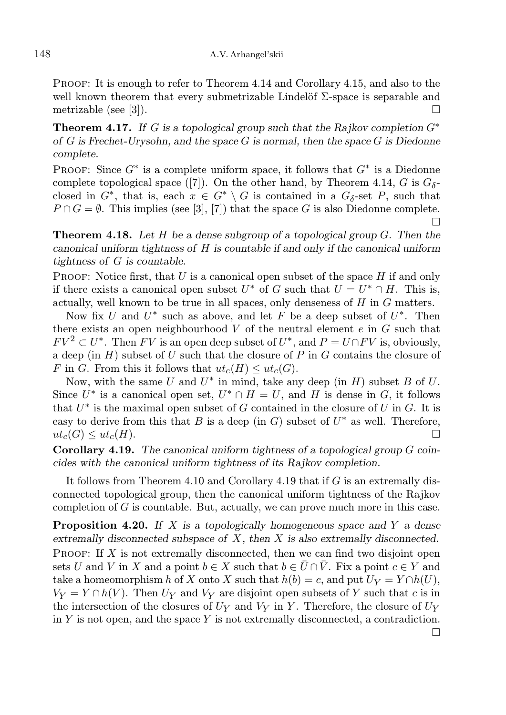Proof: It is enough to refer to Theorem 4.14 and Corollary 4.15, and also to the well known theorem that every submetrizable Lindelöf  $\Sigma$ -space is separable and metrizable (see [3]).

**Theorem 4.17.** If G is a topological group such that the Rajkov completion  $G^*$ of  $G$  is Frechet-Urysohn, and the space  $G$  is normal, then the space  $G$  is Diedonne complete.

PROOF: Since  $G^*$  is a complete uniform space, it follows that  $G^*$  is a Diedonne complete topological space ([7]). On the other hand, by Theorem 4.14, G is  $G_{\delta}$ closed in  $G^*$ , that is, each  $x \in G^* \setminus G$  is contained in a  $G_\delta$ -set P, such that  $P \cap G = \emptyset$ . This implies (see [3], [7]) that the space G is also Diedonne complete.  $\Box$ 

**Theorem 4.18.** Let H be a dense subgroup of a topological group  $G$ . Then the canonical uniform tightness of H is countable if and only if the canonical uniform tightness of G is countable.

PROOF: Notice first, that  $U$  is a canonical open subset of the space  $H$  if and only if there exists a canonical open subset  $U^*$  of G such that  $U = U^* \cap H$ . This is, actually, well known to be true in all spaces, only denseness of H in G matters.

Now fix U and  $U^*$  such as above, and let F be a deep subset of  $U^*$ . Then there exists an open neighbourhood  $V$  of the neutral element  $e$  in  $G$  such that  $FV^2 \subset U^*$ . Then FV is an open deep subset of  $U^*$ , and  $P = U \cap FV$  is, obviously, a deep (in  $H$ ) subset of U such that the closure of P in G contains the closure of F in G. From this it follows that  $ut_c(H) \leq ut_c(G)$ .

Now, with the same U and  $U^*$  in mind, take any deep (in H) subset B of U. Since  $U^*$  is a canonical open set,  $U^* \cap H = U$ , and H is dense in G, it follows that  $U^*$  is the maximal open subset of G contained in the closure of U in G. It is easy to derive from this that B is a deep (in G) subset of  $U^*$  as well. Therefore,  $ut_c(G) \leq ut_c(H)$ .

Corollary 4.19. The canonical uniform tightness of a topological group G coincides with the canonical uniform tightness of its Rajkov completion.

It follows from Theorem 4.10 and Corollary 4.19 that if G is an extremally disconnected topological group, then the canonical uniform tightness of the Rajkov completion of  $G$  is countable. But, actually, we can prove much more in this case.

**Proposition 4.20.** If X is a topologically homogeneous space and Y a dense extremally disconnected subspace of  $X$ , then  $X$  is also extremally disconnected. PROOF: If X is not extremally disconnected, then we can find two disjoint open sets U and V in X and a point  $b \in X$  such that  $b \in \overline{U} \cap V$ . Fix a point  $c \in Y$  and take a homeomorphism h of X onto X such that  $h(b) = c$ , and put  $U_Y = Y \cap h(U)$ ,  $V_Y = Y \cap h(V)$ . Then  $U_Y$  and  $V_Y$  are disjoint open subsets of Y such that c is in the intersection of the closures of  $U_Y$  and  $V_Y$  in Y. Therefore, the closure of  $U_Y$ in  $Y$  is not open, and the space  $Y$  is not extremally disconnected, a contradiction.  $\Box$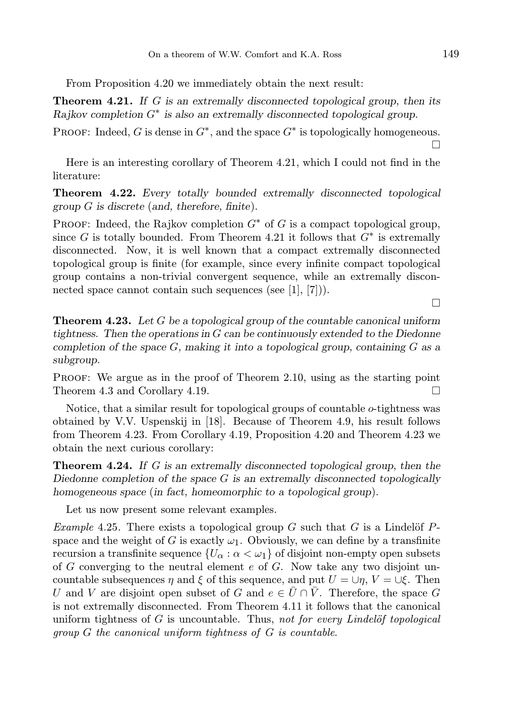From Proposition 4.20 we immediately obtain the next result:

**Theorem 4.21.** If G is an extremally disconnected topological group, then its Rajkov completion  $G^*$  is also an extremally disconnected topological group.

PROOF: Indeed, G is dense in  $G^*$ , and the space  $G^*$  is topologically homogeneous.  $\Box$ 

Here is an interesting corollary of Theorem 4.21, which I could not find in the literature:

Theorem 4.22. Every totally bounded extremally disconnected topological group G is discrete (and, therefore, finite).

PROOF: Indeed, the Rajkov completion  $G^*$  of G is a compact topological group, since G is totally bounded. From Theorem 4.21 it follows that  $G^*$  is extremally disconnected. Now, it is well known that a compact extremally disconnected topological group is finite (for example, since every infinite compact topological group contains a non-trivial convergent sequence, while an extremally disconnected space cannot contain such sequences (see [1], [7])).

 $\Box$ 

**Theorem 4.23.** Let  $G$  be a topological group of the countable canonical uniform tightness. Then the operations in G can be continuously extended to the Diedonne completion of the space  $G$ , making it into a topological group, containing  $G$  as a subgroup.

Proof: We argue as in the proof of Theorem 2.10, using as the starting point Theorem 4.3 and Corollary 4.19.

Notice, that a similar result for topological groups of countable  $o$ -tightness was obtained by V.V. Uspenskij in [18]. Because of Theorem 4.9, his result follows from Theorem 4.23. From Corollary 4.19, Proposition 4.20 and Theorem 4.23 we obtain the next curious corollary:

**Theorem 4.24.** If  $G$  is an extremally disconnected topological group, then the Diedonne completion of the space  $G$  is an extremally disconnected topologically homogeneous space (in fact, homeomorphic to a topological group).

Let us now present some relevant examples.

*Example* 4.25. There exists a topological group G such that G is a Lindelöf  $P$ space and the weight of G is exactly  $\omega_1$ . Obviously, we can define by a transfinite recursion a transfinite sequence  $\{U_{\alpha} : \alpha < \omega_1\}$  of disjoint non-empty open subsets of G converging to the neutral element  $e$  of G. Now take any two disjoint uncountable subsequences  $\eta$  and  $\xi$  of this sequence, and put  $U = \bigcup_{\eta} V = \bigcup_{\xi} V$ . Then U and V are disjoint open subset of G and  $e \in U \cap V$ . Therefore, the space G is not extremally disconnected. From Theorem 4.11 it follows that the canonical uniform tightness of  $G$  is uncountable. Thus, not for every Lindelöf topological group G the canonical uniform tightness of G is countable.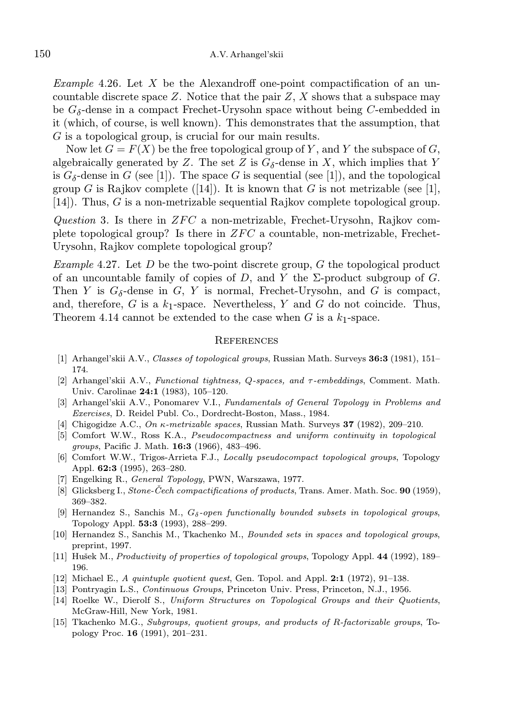*Example* 4.26. Let X be the Alexandroff one-point compactification of an uncountable discrete space  $Z$ . Notice that the pair  $Z$ ,  $X$  shows that a subspace may be  $G_{\delta}$ -dense in a compact Frechet-Urysohn space without being C-embedded in it (which, of course, is well known). This demonstrates that the assumption, that G is a topological group, is crucial for our main results.

Now let  $G = F(X)$  be the free topological group of Y, and Y the subspace of G, algebraically generated by Z. The set Z is  $G_{\delta}$ -dense in X, which implies that Y is  $G_{\delta}$ -dense in G (see [1]). The space G is sequential (see [1]), and the topological group G is Rajkov complete ([14]). It is known that G is not metrizable (see [1], [14]). Thus, G is a non-metrizable sequential Rajkov complete topological group.

Question 3. Is there in  $ZFC$  a non-metrizable, Frechet-Urysohn, Rajkov complete topological group? Is there in  $ZFC$  a countable, non-metrizable, Frechet-Urysohn, Rajkov complete topological group?

*Example* 4.27. Let D be the two-point discrete group, G the topological product of an uncountable family of copies of D, and Y the  $\Sigma$ -product subgroup of G. Then Y is  $G_{\delta}$ -dense in G, Y is normal, Frechet-Urysohn, and G is compact, and, therefore, G is a  $k_1$ -space. Nevertheless, Y and G do not coincide. Thus, Theorem 4.14 cannot be extended to the case when  $G$  is a  $k_1$ -space.

#### **REFERENCES**

- [1] Arhangel'skii A.V., Classes of topological groups, Russian Math. Surveys 36:3 (1981), 151-174.
- [2] Arhangel'skii A.V., Functional tightness, Q-spaces, and τ-embeddings, Comment. Math. Univ. Carolinae 24:1 (1983), 105–120.
- [3] Arhangel'skii A.V., Ponomarev V.I., Fundamentals of General Topology in Problems and Exercises, D. Reidel Publ. Co., Dordrecht-Boston, Mass., 1984.
- [4] Chigogidze A.C., On  $\kappa$ -metrizable spaces, Russian Math. Surveys 37 (1982), 209–210.
- [5] Comfort W.W., Ross K.A., Pseudocompactness and uniform continuity in topological groups, Pacific J. Math. 16:3 (1966), 483-496.
- [6] Comfort W.W., Trigos-Arrieta F.J., Locally pseudocompact topological groups, Topology Appl. 62:3 (1995), 263–280.
- [7] Engelking R., General Topology, PWN, Warszawa, 1977.
- [8] Glicksberg I., Stone-Cech compactifications of products, Trans. Amer. Math. Soc.  $90$  (1959), 369–382.
- [9] Hernandez S., Sanchis M.,  $G_{\delta}$ -open functionally bounded subsets in topological groups, Topology Appl. 53:3 (1993), 288–299.
- [10] Hernandez S., Sanchis M., Tkachenko M., Bounded sets in spaces and topological groups, preprint, 1997.
- [11] Hušek M., Productivity of properties of topological groups, Topology Appl. 44 (1992), 189– 196.
- [12] Michael E., A quintuple quotient quest, Gen. Topol. and Appl. 2:1 (1972), 91–138.
- [13] Pontryagin L.S., Continuous Groups, Princeton Univ. Press, Princeton, N.J., 1956.
- [14] Roelke W., Dierolf S., Uniform Structures on Topological Groups and their Quotients, McGraw-Hill, New York, 1981.
- [15] Tkachenko M.G., Subgroups, quotient groups, and products of R-factorizable groups, Topology Proc. 16 (1991), 201–231.